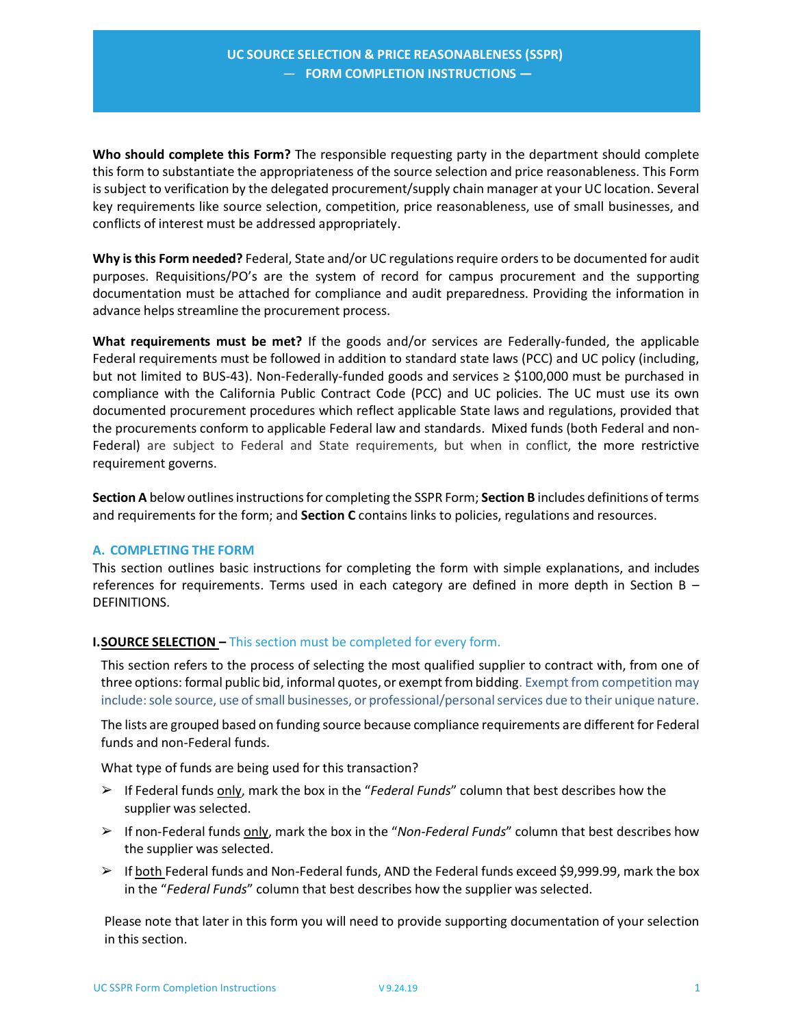**Who should complete this Form?** The responsible requesting party in the department should complete this form to substantiate the appropriateness of the source selection and price reasonableness. This Form is subject to verification by the delegated procurement/supply chain manager at your UC location. Several key requirements like source selection, competition, price reasonableness, use of small businesses, and conflicts of interest must be addressed appropriately.

**Why is this Form needed?** Federal, State and/or UC regulations require orders to be documented for audit purposes. Requisitions/PO's are the system of record for campus procurement and the supporting documentation must be attached for compliance and audit preparedness. Providing the information in advance helps streamline the procurement process.

**What requirements must be met?** If the goods and/or services are Federally-funded, the applicable Federal requirements must be followed in addition to standard state laws (PCC) and UC policy (including, but not limited to BUS‐43). Non‐Federally‐funded goods and services ≥ \$100,000 must be purchased in compliance with the California Public Contract Code (PCC) and UC policies. The UC must use its own documented procurement procedures which reflect applicable State laws and regulations, provided that the procurements conform to applicable Federal law and standards. Mixed funds (both Federal and non‐ Federal) are subject to Federal and State requirements, but when in conflict, the more restrictive requirement governs.

**Section A** below outlines instructions for completing the SSPR Form; **Section B** includes definitions of terms and requirements for the form; and **Section C** contains links to policies, regulations and resources.

#### **A. COMPLETING THE FORM**

This section outlines basic instructions for completing the form with simple explanations, and includes references for requirements. Terms used in each category are defined in more depth in Section B  $-$ DEFINITIONS.

# **I. SOURCE SELECTION - This section must be completed for every form.**

This section refers to the process of selecting the most qualified supplier to contract with, from one of three options: formal public bid, informal quotes, or exempt from bidding. Exempt from competition may include: sole source, use of small businesses, or professional/personal services due to their unique nature.

The lists are grouped based on funding source because compliance requirements are different for Federal funds and non‐Federal funds.

What type of funds are being used for this transaction?

- ➢ If Federal funds only, mark the box in the "*Federal Funds*" column that best describes how the supplier was selected.
- ➢ If non‐Federal funds only, mark the box in the "*Non‐Federal Funds*" column that best describes how the supplier was selected.
- $\triangleright$  If both Federal funds and Non-Federal funds, AND the Federal funds exceed \$9,999.99, mark the box in the "*Federal Funds*" column that best describes how the supplier was selected.

Please note that later in this form you will need to provide supporting documentation of your selection in this section.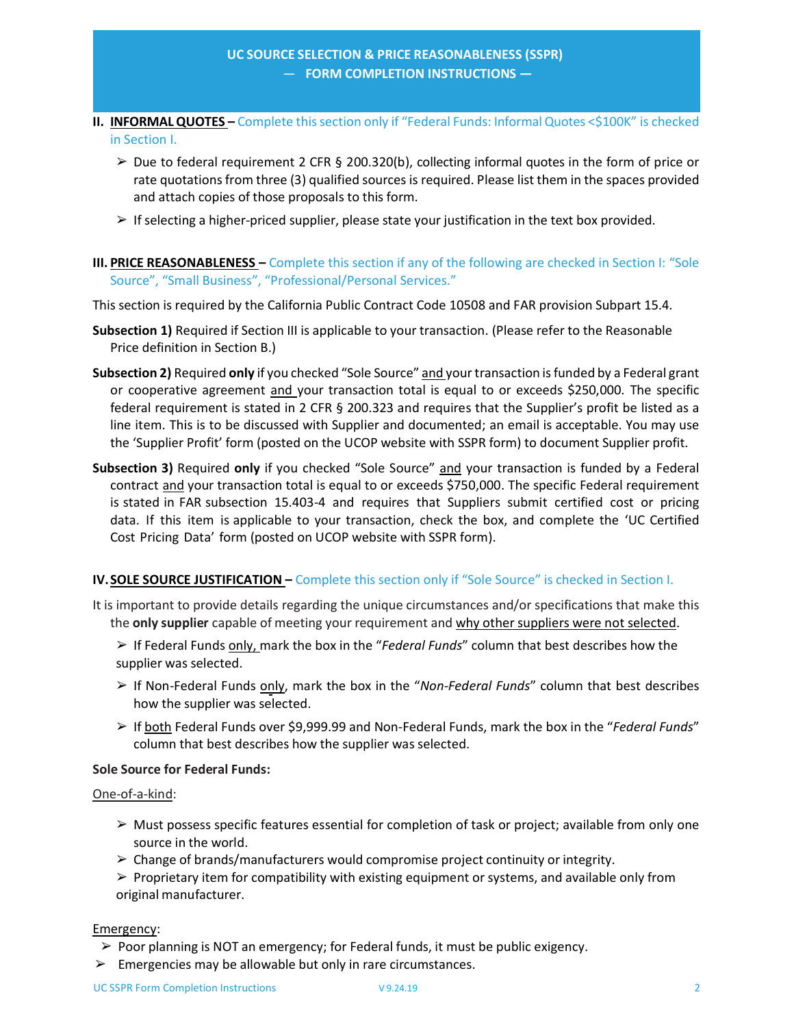- **II. INFORMAL QUOTES -** Complete this section only if "Federal Funds: Informal Quotes <\$100K" is checked in Section I.
	- $\geq$  Due to federal requirement 2 CFR § 200.320(b), collecting informal quotes in the form of price or rate quotations from three (3) qualified sources is required. Please list them in the spaces provided and attach copies of those proposals to this form.
	- $\triangleright$  If selecting a higher-priced supplier, please state your justification in the text box provided.
- **III. PRICE REASONABLENESS** Complete this section if any of the following are checked in Section I: "Sole Source", "Small Business", "Professional/Personal Services."

This section is required by the California Public Contract Code 10508 and FAR provision Subpart 15.4.

- **Subsection 1)** Required if Section III is applicable to your transaction. (Please refer to the Reasonable Price definition in Section B.)
- **Subsection 2)** Required **only** if you checked "Sole Source" and your transaction is funded by a Federal grant or cooperative agreement <u>and</u> your transaction total is equal to or exceeds \$250,000. The specific federal requirement is stated in 2 CFR § 200.323 and requires that the Supplier's profit be listed as a line item. This is to be discussed with Supplier and documented; an email is acceptable. You may use the 'Supplier Profit' form (posted on the UCOP website with SSPR form) to document Supplier profit.
- **Subsection 3)** Required **only** if you checked "Sole Source" and your transaction is funded by a Federal contract and your transaction total is equal to or exceeds \$750,000. The specific Federal requirement is stated in FAR subsection 15.403‐4 and requires that Suppliers submit certified cost or pricing data. If this item is applicable to your transaction, check the box, and complete the 'UC Certified Cost Pricing Data' form (posted on UCOP website with SSPR form).

# **IV.SOLE SOURCE JUSTIFICATION –** Complete this section only if "Sole Source" is checked in Section I.

- It is important to provide details regarding the unique circumstances and/or specifications that make this the **only supplier** capable of meeting your requirement and why other suppliers were not selected.
	- ➢ If Federal Funds only, mark the box in the "*Federal Funds*" column that best describes how the supplier was selected.
	- ➢ If Non‐Federal Funds only, mark the box in the "*Non‐Federal Funds*" column that best describes how the supplier was selected.
	- ➢ If both Federal Funds over \$9,999.99 and Non‐Federal Funds, mark the box in the "*Federal Funds*" column that best describes how the supplier was selected.

#### **Sole Source for Federal Funds:**

One‐of‐a‐kind:

- $\triangleright$  Must possess specific features essential for completion of task or project; available from only one source in the world.
- $\geq$  Change of brands/manufacturers would compromise project continuity or integrity.
- $\triangleright$  Proprietary item for compatibility with existing equipment or systems, and available only from original manufacturer.

#### Emergency:

- $\triangleright$  Poor planning is NOT an emergency; for Federal funds, it must be public exigency.
- $\triangleright$  Emergencies may be allowable but only in rare circumstances.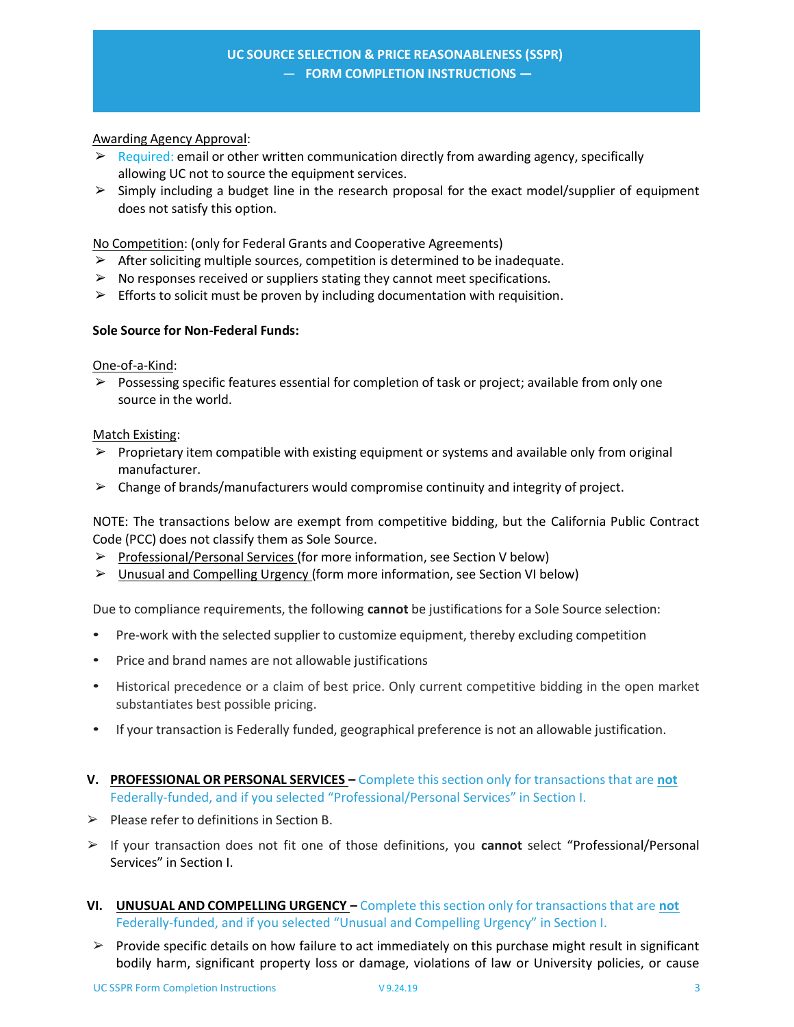### Awarding Agency Approval:

- $\triangleright$  Required: email or other written communication directly from awarding agency, specifically allowing UC not to source the equipment services.
- $\geq$  Simply including a budget line in the research proposal for the exact model/supplier of equipment does not satisfy this option.

No Competition: (only for Federal Grants and Cooperative Agreements)

- $\triangleright$  After soliciting multiple sources, competition is determined to be inadequate.
- $\triangleright$  No responses received or suppliers stating they cannot meet specifications.
- $\triangleright$  Efforts to solicit must be proven by including documentation with requisition.

### **Sole Source for Non‐Federal Funds:**

### One‐of‐a‐Kind:

 $\triangleright$  Possessing specific features essential for completion of task or project; available from only one source in the world.

# Match Existing:

- $\triangleright$  Proprietary item compatible with existing equipment or systems and available only from original manufacturer.
- $\triangleright$  Change of brands/manufacturers would compromise continuity and integrity of project.

NOTE: The transactions below are exempt from competitive bidding, but the California Public Contract Code (PCC) does not classify them as Sole Source.

- ➢ Professional/Personal Services (for more information, see Section V below)
- ➢ Unusual and Compelling Urgency (form more information, see Section VI below)

Due to compliance requirements, the following **cannot** be justifications for a Sole Source selection:

- Pre-work with the selected supplier to customize equipment, thereby excluding competition
- Price and brand names are not allowable justifications
- Historical precedence or a claim of best price. Only current competitive bidding in the open market substantiates best possible pricing.
- If your transaction is Federally funded, geographical preference is not an allowable justification.
- **V. PROFESSIONAL OR PERSONAL SERVICES** Complete this section only for transactions that are **not** Federally-funded, and if you selected "Professional/Personal Services" in Section I.
- $\triangleright$  Please refer to definitions in Section B.
- ➢ If your transaction does not fit one of those definitions, you **cannot** select "Professional/Personal Services" in Section I.
- **VI. UNUSUAL AND COMPELLING URGENCY** Complete this section only for transactions that are **not** Federally‐funded, and if you selected "Unusual and Compelling Urgency" in Section I.
- $\triangleright$  Provide specific details on how failure to act immediately on this purchase might result in significant bodily harm, significant property loss or damage, violations of law or University policies, or cause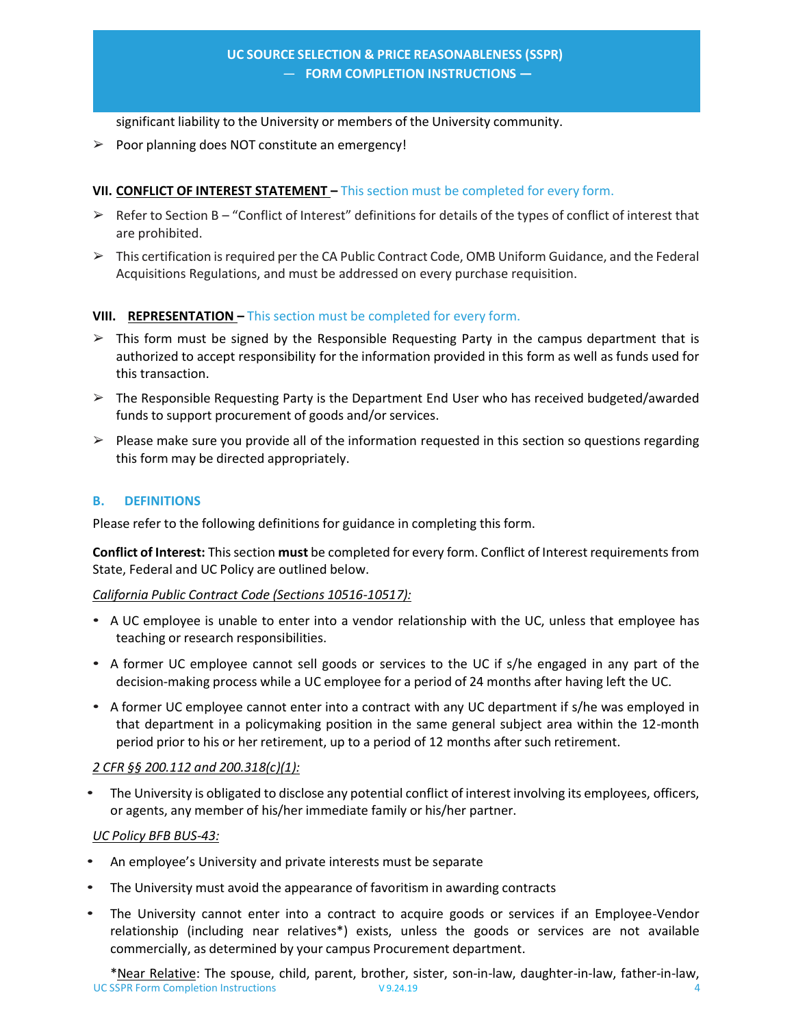significant liability to the University or members of the University community.

 $\geq$  Poor planning does NOT constitute an emergency!

## **VII. CONFLICT OF INTEREST STATEMENT –** This section must be completed for every form.

- $\triangleright$  Refer to Section B "Conflict of Interest" definitions for details of the types of conflict of interest that are prohibited.
- $\triangleright$  This certification is required per the CA Public Contract Code, OMB Uniform Guidance, and the Federal Acquisitions Regulations, and must be addressed on every purchase requisition.

### **VIII. REPRESENTATION –** This section must be completed for every form.

- $\triangleright$  This form must be signed by the Responsible Requesting Party in the campus department that is authorized to accept responsibility for the information provided in this form as well as funds used for this transaction.
- $\triangleright$  The Responsible Requesting Party is the Department End User who has received budgeted/awarded funds to support procurement of goods and/or services.
- $\triangleright$  Please make sure you provide all of the information requested in this section so questions regarding this form may be directed appropriately.

# **B. DEFINITIONS**

Please refer to the following definitions for guidance in completing this form.

**Conflict of Interest:** This section **must** be completed for every form. Conflict of Interest requirements from State, Federal and UC Policy are outlined below.

#### *California Public Contract Code (Sections 10516‐10517):*

- A UC employee is unable to enter into a vendor relationship with the UC, unless that employee has teaching or research responsibilities.
- A former UC employee cannot sell goods or services to the UC if s/he engaged in any part of the decision‐making process while a UC employee for a period of 24 months after having left the UC.
- A former UC employee cannot enter into a contract with any UC department if s/he was employed in that department in a policymaking position in the same general subject area within the 12‐month period prior to his or her retirement, up to a period of 12 months after such retirement.

#### *2 CFR §§ 200.112 and 200.318(c)(1):*

• The University is obligated to disclose any potential conflict of interest involving its employees, officers, or agents, any member of his/her immediate family or his/her partner.

# *UC Policy BFB BUS‐43:*

- An employee's University and private interests must be separate
- The University must avoid the appearance of favoritism in awarding contracts
- The University cannot enter into a contract to acquire goods or services if an Employee-Vendor relationship (including near relatives\*) exists, unless the goods or services are not available commercially, as determined by your campus Procurement department.

UC SSPR Form Completion Instructions V 9.24.19 4 \*Near Relative: The spouse, child, parent, brother, sister, son-in-law, daughter-in-law, father-in-law,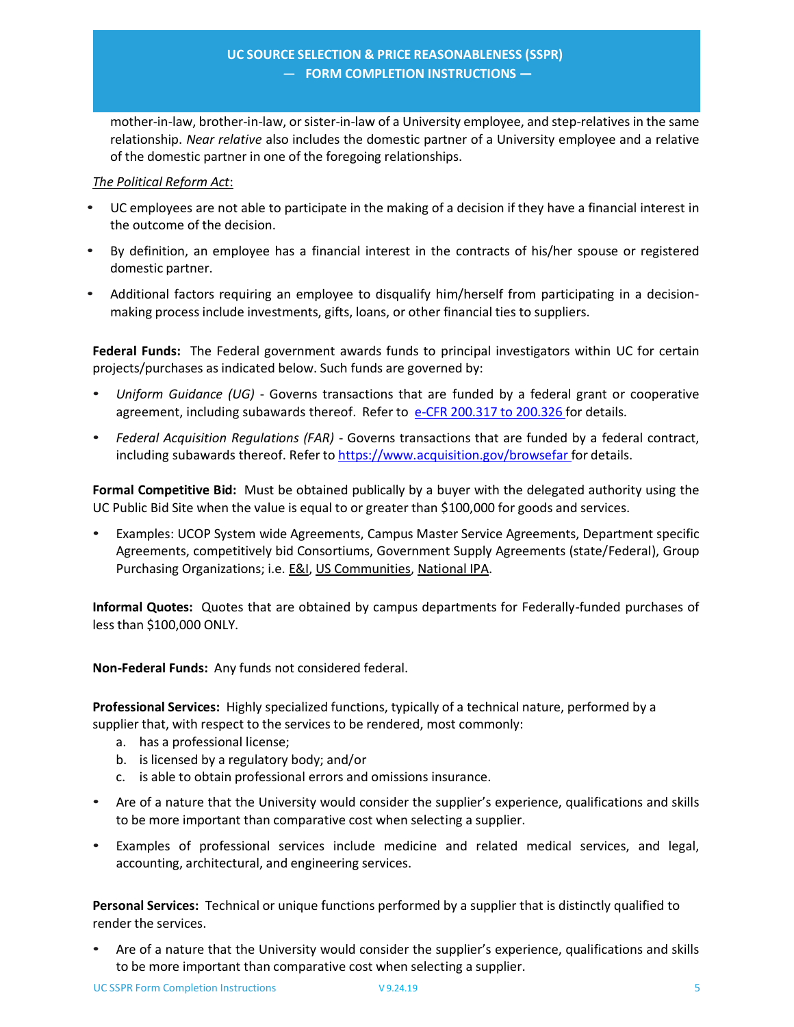mother-in-law, brother-in-law, or sister-in-law of a University employee, and step-relatives in the same relationship. *Near relative* also includes the domestic partner of a University employee and a relative of the domestic partner in one of the foregoing relationships.

## *The Political Reform Act*:

- UC employees are not able to participate in the making of a decision if they have a financial interest in the outcome of the decision.
- By definition, an employee has a financial interest in the contracts of his/her spouse or registered domestic partner.
- Additional factors requiring an employee to disqualify him/herself from participating in a decisionmaking process include investments, gifts, loans, or other financial ties to suppliers.

**Federal Funds:**  The Federal government awards funds to principal investigators within UC for certain projects/purchases as indicated below. Such funds are governed by:

- *Uniform Guidance (UG) Governs transactions that are funded by a federal grant or cooperative* agreement, including subawards thereof. Refer to e‐CFR 200.317 to 200.326 for details.
- *Federal Acquisition Regulations (FAR)* ‐ Governs transactions that are funded by a federal contract, including subawards thereof. Refer to https://www.acquisition.gov/browsefar for details.

**Formal Competitive Bid:**  Must be obtained publically by a buyer with the delegated authority using the UC Public Bid Site when the value is equal to or greater than \$100,000 for goods and services.

• Examples: UCOP System wide Agreements, Campus Master Service Agreements, Department specific Agreements, competitively bid Consortiums, Government Supply Agreements (state/Federal), Group Purchasing Organizations; i.e. E&I, US Communities, National IPA.

**Informal Quotes:**  Quotes that are obtained by campus departments for Federally‐funded purchases of less than \$100,000 ONLY.

**Non‐Federal Funds:**  Any funds not considered federal.

**Professional Services:**  Highly specialized functions, typically of a technical nature, performed by a supplier that, with respect to the services to be rendered, most commonly:

- a. has a professional license;
- b. is licensed by a regulatory body; and/or
- c. is able to obtain professional errors and omissions insurance.
- Are of a nature that the University would consider the supplier's experience, qualifications and skills to be more important than comparative cost when selecting a supplier.
- Examples of professional services include medicine and related medical services, and legal, accounting, architectural, and engineering services.

**Personal Services:**  Technical or unique functions performed by a supplier that is distinctly qualified to render the services.

• Are of a nature that the University would consider the supplier's experience, qualifications and skills to be more important than comparative cost when selecting a supplier.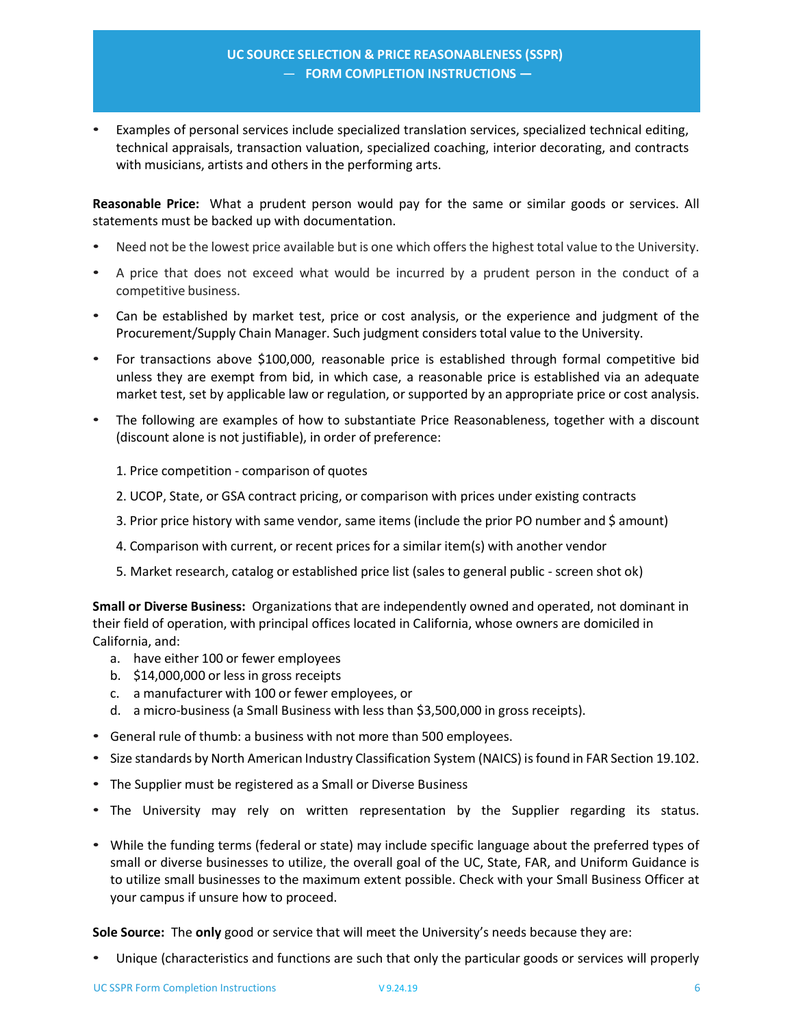• Examples of personal services include specialized translation services, specialized technical editing, technical appraisals, transaction valuation, specialized coaching, interior decorating, and contracts with musicians, artists and others in the performing arts.

Reasonable Price: What a prudent person would pay for the same or similar goods or services. All statements must be backed up with documentation.

- Need not be the lowest price available but is one which offers the highest total value to the University.
- A price that does not exceed what would be incurred by a prudent person in the conduct of a competitive business.
- Can be established by market test, price or cost analysis, or the experience and judgment of the Procurement/Supply Chain Manager. Such judgment considers total value to the University.
- For transactions above \$100,000, reasonable price is established through formal competitive bid unless they are exempt from bid, in which case, a reasonable price is established via an adequate market test, set by applicable law or regulation, or supported by an appropriate price or cost analysis.
- The following are examples of how to substantiate Price Reasonableness, together with a discount (discount alone is not justifiable), in order of preference:
	- 1. Price competition ‐ comparison of quotes
	- 2. UCOP, State, or GSA contract pricing, or comparison with prices under existing contracts
	- 3. Prior price history with same vendor, same items (include the prior PO number and \$ amount)
	- 4. Comparison with current, or recent prices for a similar item(s) with another vendor
	- 5. Market research, catalog or established price list (sales to general public ‐ screen shot ok)

**Small or Diverse Business:**  Organizations that are independently owned and operated, not dominant in their field of operation, with principal offices located in California, whose owners are domiciled in California, and:

- a. have either 100 or fewer employees
- b. \$14,000,000 or less in gross receipts
- c. a manufacturer with 100 or fewer employees, or
- d. a micro‐business (a Small Business with less than \$3,500,000 in gross receipts).
- General rule of thumb: a business with not more than 500 employees.
- Size standards by North American Industry Classification System (NAICS) is found in FAR Section 19.102.
- The Supplier must be registered as a Small or Diverse Business
- The University may rely on written representation by the Supplier regarding its status.
- While the funding terms (federal or state) may include specific language about the preferred types of small or diverse businesses to utilize, the overall goal of the UC, State, FAR, and Uniform Guidance is to utilize small businesses to the maximum extent possible. Check with your Small Business Officer at your campus if unsure how to proceed.

**Sole Source:** The **only** good or service that will meet the University's needs because they are:

• Unique (characteristics and functions are such that only the particular goods or services will properly